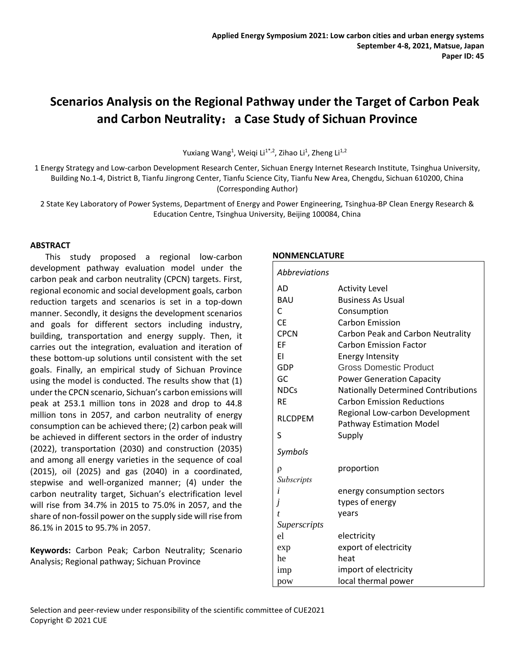# **Scenarios Analysis on the Regional Pathway under the Target of Carbon Peak and Carbon Neutrality**:**a Case Study of Sichuan Province**

Yuxiang Wang<sup>1</sup>, Weiqi Li<sup>1\*,2</sup>, Zihao Li<sup>1</sup>, Zheng Li<sup>1,2</sup>

1 Energy Strategy and Low-carbon Development Research Center, Sichuan Energy Internet Research Institute, Tsinghua University, Building No.1-4, District B, Tianfu Jingrong Center, Tianfu Science City, Tianfu New Area, Chengdu, Sichuan 610200, China (Corresponding Author)

2 State Key Laboratory of Power Systems, Department of Energy and Power Engineering, Tsinghua-BP Clean Energy Research & Education Centre, Tsinghua University, Beijing 100084, China

#### **ABSTRACT**

This study proposed a regional low-carbon development pathway evaluation model under the carbon peak and carbon neutrality (CPCN) targets. First, regional economic and social development goals, carbon reduction targets and scenarios is set in a top-down manner. Secondly, it designs the development scenarios and goals for different sectors including industry, building, transportation and energy supply. Then, it carries out the integration, evaluation and iteration of these bottom-up solutions until consistent with the set goals. Finally, an empirical study of Sichuan Province using the model is conducted. The results show that (1) under the CPCN scenario, Sichuan's carbon emissions will peak at 253.1 million tons in 2028 and drop to 44.8 million tons in 2057, and carbon neutrality of energy consumption can be achieved there; (2) carbon peak will be achieved in different sectors in the order of industry (2022), transportation (2030) and construction (2035) and among all energy varieties in the sequence of coal (2015), oil (2025) and gas (2040) in a coordinated, stepwise and well-organized manner; (4) under the carbon neutrality target, Sichuan's electrification level will rise from 34.7% in 2015 to 75.0% in 2057, and the share of non-fossil power on the supply side will rise from 86.1% in 2015 to 95.7% in 2057.

**Keywords:** Carbon Peak; Carbon Neutrality; Scenario Analysis; Regional pathway; Sichuan Province

#### **NONMENCLATURE**

| Abbreviations       |                                            |
|---------------------|--------------------------------------------|
| AD                  | <b>Activity Level</b>                      |
| <b>BAU</b>          | <b>Business As Usual</b>                   |
| C                   | Consumption                                |
| <b>CE</b>           | <b>Carbon Emission</b>                     |
| <b>CPCN</b>         | Carbon Peak and Carbon Neutrality          |
| EF                  | <b>Carbon Emission Factor</b>              |
| ΕI                  | <b>Energy Intensity</b>                    |
| GDP                 | <b>Gross Domestic Product</b>              |
| GC                  | <b>Power Generation Capacity</b>           |
| <b>NDCs</b>         | <b>Nationally Determined Contributions</b> |
| <b>RE</b>           | <b>Carbon Emission Reductions</b>          |
|                     | Regional Low-carbon Development            |
| <b>RLCDPEM</b>      | <b>Pathway Estimation Model</b>            |
| S                   | Supply                                     |
| Symbols             |                                            |
| ρ                   | proportion                                 |
| Subscripts          |                                            |
| i                   | energy consumption sectors                 |
| j                   | types of energy                            |
| t                   | years                                      |
| <i>Superscripts</i> |                                            |
| el                  | electricity                                |
| exp                 | export of electricity                      |
| he                  | heat                                       |
| imp                 | import of electricity                      |
| pow                 | local thermal power                        |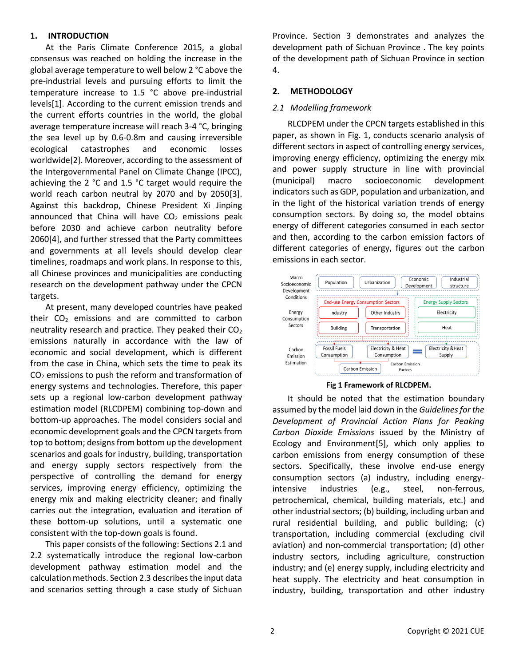## **1. INTRODUCTION**

At the Paris Climate Conference 2015, a global consensus was reached on holding the increase in the global average temperature to well below 2 °C above the pre-industrial levels and pursuing efforts to limit the temperature increase to 1.5 °C above pre-industrial level[s\[1\].](#page-5-0) According to the current emission trends and the current efforts countries in the world, the global average temperature increase will reach 3-4 °C, bringing the sea level up by 0.6-0.8m and causing irreversible ecological catastrophes and economic losses worldwid[e\[2\].](#page-5-1) Moreover, according to the assessment of the Intergovernmental Panel on Climate Change (IPCC), achieving the 2 °C and 1.5 °C target would require the world reach carbon neutral by 2070 and by 205[0\[3\].](#page-5-2) Against this backdrop, Chinese President Xi Jinping announced that China will have  $CO<sub>2</sub>$  emissions peak before 2030 and achieve carbon neutrality before 206[0\[4\],](#page-5-3) and further stressed that the Party committees and governments at all levels should develop clear timelines, roadmaps and work plans. In response to this, all Chinese provinces and municipalities are conducting research on the development pathway under the CPCN targets.

At present, many developed countries have peaked their  $CO<sub>2</sub>$  emissions and are committed to carbon neutrality research and practice. They peaked their  $CO<sub>2</sub>$ emissions naturally in accordance with the law of economic and social development, which is different from the case in China, which sets the time to peak its  $CO<sub>2</sub>$  emissions to push the reform and transformation of energy systems and technologies. Therefore, this paper sets up a regional low-carbon development pathway estimation model (RLCDPEM) combining top-down and bottom-up approaches. The model considers social and economic development goals and the CPCN targets from top to bottom; designs from bottom up the development scenarios and goals for industry, building, transportation and energy supply sectors respectively from the perspective of controlling the demand for energy services, improving energy efficiency, optimizing the energy mix and making electricity cleaner; and finally carries out the integration, evaluation and iteration of these bottom-up solutions, until a systematic one consistent with the top-down goals is found.

This paper consists of the following: Sections 2.1 and 2.2 systematically introduce the regional low-carbon development pathway estimation model and the calculation methods. Section 2.3 describes the input data and scenarios setting through a case study of Sichuan Province. Section 3 demonstrates and analyzes the development path of Sichuan Province . The key points of the development path of Sichuan Province in section 4.

## **2. METHODOLOGY**

#### *2.1 Modelling framework*

RLCDPEM under the CPCN targets established in this paper, as shown in Fig. 1, conducts scenario analysis of different sectors in aspect of controlling energy services, improving energy efficiency, optimizing the energy mix and power supply structure in line with provincial (municipal) macro socioeconomic development indicators such as GDP, population and urbanization, and in the light of the historical variation trends of energy consumption sectors. By doing so, the model obtains energy of different categories consumed in each sector and then, according to the carbon emission factors of different categories of energy, figures out the carbon emissions in each sector.



**Fig 1 Framework of RLCDPEM.**

It should be noted that the estimation boundary assumed by the model laid down in the *Guidelines for the Development of Provincial Action Plans for Peaking Carbon Dioxide Emissions* issued by the Ministry of Ecology and Environmen[t\[5\],](#page-5-4) which only applies to carbon emissions from energy consumption of these sectors. Specifically, these involve end-use energy consumption sectors (a) industry, including energyintensive industries (e.g., steel, non-ferrous, petrochemical, chemical, building materials, etc.) and other industrial sectors; (b) building, including urban and rural residential building, and public building; (c) transportation, including commercial (excluding civil aviation) and non-commercial transportation; (d) other industry sectors, including agriculture, construction industry; and (e) energy supply, including electricity and heat supply. The electricity and heat consumption in industry, building, transportation and other industry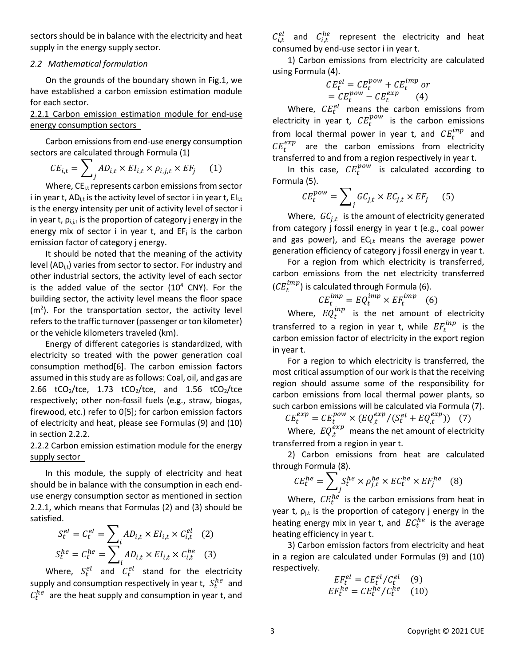sectors should be in balance with the electricity and heat supply in the energy supply sector.

#### *2.2 Mathematical formulation*

On the grounds of the boundary shown in Fig.1, we have established a carbon emission estimation module for each sector.

## 2.2.1 Carbon emission estimation module for end-use energy consumption sectors

Carbon emissions from end-use energy consumption sectors are calculated through Formula (1)

$$
CE_{i,t} = \sum_{j} AD_{i,t} \times EI_{i,t} \times \rho_{i,j,t} \times EF_j \qquad (1)
$$

Where,  $CE_{i,t}$  represents carbon emissions from sector i in year t,  $AD_{i,t}$  is the activity level of sector i in year t,  $EI_{i,t}$ is the energy intensity per unit of activity level of sector i in year t,  $\rho_{i,j,t}$  is the proportion of category j energy in the energy mix of sector i in year t, and  $EF_i$  is the carbon emission factor of category j energy.

It should be noted that the meaning of the activity level (AD<sub>i,t</sub>) varies from sector to sector. For industry and other industrial sectors, the activity level of each sector is the added value of the sector  $(10^4 \text{ CNY})$ . For the building sector, the activity level means the floor space  $(m<sup>2</sup>)$ . For the transportation sector, the activity level refers to the traffic turnover (passenger or ton kilometer) or the vehicle kilometers traveled (km).

Energy of different categories is standardized, with electricity so treated with the power generation coal consumption metho[d\[6\].](#page-5-5) The carbon emission factors assumed in this study are as follows: Coal, oil, and gas are 2.66  $tCO_2/$ tce, 1.73  $tCO_2/$ tce, and 1.56  $tCO_2/$ tce respectively; other non-fossil fuels (e.g., straw, biogas, firewood, etc.) refer to [0\[5\];](#page-5-4) for carbon emission factors of electricity and heat, please see Formulas (9) and (10) in section 2.2.2.

## 2.2.2 Carbon emission estimation module for the energy supply sector

In this module, the supply of electricity and heat should be in balance with the consumption in each enduse energy consumption sector as mentioned in section 2.2.1, which means that Formulas (2) and (3) should be satisfied.

$$
S_t^{el} = C_t^{el} = \sum_i AD_{i,t} \times EI_{i,t} \times C_{i,t}^{el} \quad (2)
$$
  

$$
S_t^{he} = C_t^{he} = \sum_i AD_{i,t} \times EI_{i,t} \times C_{i,t}^{he} \quad (3)
$$

Where,  $S_t^{el}$  and  $C_t^{el}$  stand for the electricity supply and consumption respectively in year t,  $S_t^{he}$  and  $C_t^{he}$  are the heat supply and consumption in year t, and

 $C_{i,t}^{el}$  and  $C_{i,t}^{he}$  represent the electricity and heat consumed by end-use sector i in year t.

1) Carbon emissions from electricity are calculated using Formula (4).

$$
CE_t^{el} = CE_t^{pow} + CE_t^{imp} or
$$
  
= CE\_t^{pow} - CE\_t^{exp} (4)

Where,  $CE_t^{el}$  means the carbon emissions from electricity in year t,  $CE_t^{pow}$  is the carbon emissions from local thermal power in year t, and  $CE_t^{inp}$  and  $CE_t^{exp}$  are the carbon emissions from electricity transferred to and from a region respectively in year t.

In this case,  $CE_t^{pow}$  is calculated according to Formula (5).

$$
CE_t^{pow} = \sum_j GC_{j,t} \times EC_{j,t} \times EF_j \qquad (5)
$$

Where,  $\,GC_{j,t}\,$  is the amount of electricity generated from category j fossil energy in year t (e.g., coal power and gas power), and  $EC_{j,t}$  means the average power generation efficiency of category j fossil energy in year t.

For a region from which electricity is transferred, carbon emissions from the net electricity transferred  $(\mathcal{C} E_t^{imp})$  is calculated through Formula (6).

$$
CE_t^{imp} = EQ_t^{imp} \times EF_t^{imp} \quad (6)
$$

Where,  $EQ_t^{inp}$  is the net amount of electricity transferred to a region in year t, while  $EF_t^{inp}$  is the carbon emission factor of electricity in the export region in year t.

For a region to which electricity is transferred, the most critical assumption of our work is that the receiving region should assume some of the responsibility for carbon emissions from local thermal power plants, so such carbon emissions will be calculated via Formula (7).

$$
CE_t^{exp} = CE_t^{pow} \times (EQ_{,t}^{exp}/(S_t^{el} + EQ_{,t}^{exp})) \quad (7)
$$

Where,  $EQ^{exp}_{,t}$  means the net amount of electricity transferred from a region in year t.

2) Carbon emissions from heat are calculated through Formula (8).

$$
CE_t^{he} = \sum_j S_t^{he} \times \rho_{j,t}^{he} \times EC_t^{he} \times EF_j^{he} \quad (8)
$$

Where,  $\mathit{CE}^{he}_t$  is the carbon emissions from heat in year t,  $\rho_{j,t}$  is the proportion of category j energy in the heating energy mix in year t, and  $EC_t^{he}$  is the average heating efficiency in year t.

3) Carbon emission factors from electricity and heat in a region are calculated under Formulas (9) and (10) respectively.

$$
EF_t^{el} = CE_t^{el}/C_t^{el}
$$
 (9)  

$$
EF_t^{he} = CE_t^{he}/C_t^{he}
$$
 (10)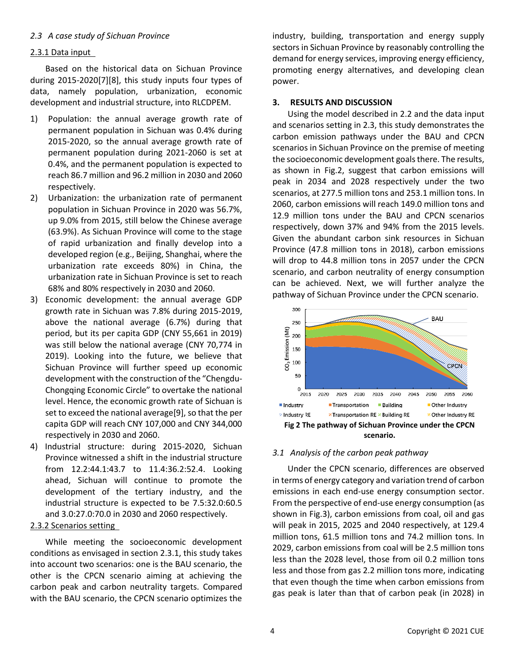## *2.3 A case study of Sichuan Province*

### 2.3.1 Data input

Based on the historical data on Sichuan Province during 2015-202[0\[7\]](#page-5-6)[\[8\],](#page-5-7) this study inputs four types of data, namely population, urbanization, economic development and industrial structure, into RLCDPEM.

- 1) Population: the annual average growth rate of permanent population in Sichuan was 0.4% during 2015-2020, so the annual average growth rate of permanent population during 2021-2060 is set at 0.4%, and the permanent population is expected to reach 86.7 million and 96.2 million in 2030 and 2060 respectively.
- 2) Urbanization: the urbanization rate of permanent population in Sichuan Province in 2020 was 56.7%, up 9.0% from 2015, still below the Chinese average (63.9%). As Sichuan Province will come to the stage of rapid urbanization and finally develop into a developed region (e.g., Beijing, Shanghai, where the urbanization rate exceeds 80%) in China, the urbanization rate in Sichuan Province is set to reach 68% and 80% respectively in 2030 and 2060.
- 3) Economic development: the annual average GDP growth rate in Sichuan was 7.8% during 2015-2019, above the national average (6.7%) during that period, but its per capita GDP (CNY 55,661 in 2019) was still below the national average (CNY 70,774 in 2019). Looking into the future, we believe that Sichuan Province will further speed up economic development with the construction of the "Chengdu-Chongqing Economic Circle" to overtake the national level. Hence, the economic growth rate of Sichuan is set to exceed the national averag[e\[9\],](#page-5-8) so that the per capita GDP will reach CNY 107,000 and CNY 344,000 respectively in 2030 and 2060.
- 4) Industrial structure: during 2015-2020, Sichuan Province witnessed a shift in the industrial structure from 12.2:44.1:43.7 to 11.4:36.2:52.4. Looking ahead, Sichuan will continue to promote the development of the tertiary industry, and the industrial structure is expected to be 7.5:32.0:60.5 and 3.0:27.0:70.0 in 2030 and 2060 respectively.

#### 2.3.2 Scenarios setting

While meeting the socioeconomic development conditions as envisaged in section 2.3.1, this study takes into account two scenarios: one is the BAU scenario, the other is the CPCN scenario aiming at achieving the carbon peak and carbon neutrality targets. Compared with the BAU scenario, the CPCN scenario optimizes the industry, building, transportation and energy supply sectors in Sichuan Province by reasonably controlling the demand for energy services, improving energy efficiency, promoting energy alternatives, and developing clean power.

### **3. RESULTS AND DISCUSSION**

Using the model described in 2.2 and the data input and scenarios setting in 2.3, this study demonstrates the carbon emission pathways under the BAU and CPCN scenarios in Sichuan Province on the premise of meeting the socioeconomic development goals there. The results, as shown in Fig.2, suggest that carbon emissions will peak in 2034 and 2028 respectively under the two scenarios, at 277.5 million tons and 253.1 million tons. In 2060, carbon emissions will reach 149.0 million tons and 12.9 million tons under the BAU and CPCN scenarios respectively, down 37% and 94% from the 2015 levels. Given the abundant carbon sink resources in Sichuan Province (47.8 million tons in 2018), carbon emissions will drop to 44.8 million tons in 2057 under the CPCN scenario, and carbon neutrality of energy consumption can be achieved. Next, we will further analyze the pathway of Sichuan Province under the CPCN scenario.



## *3.1 Analysis of the carbon peak pathway*

Under the CPCN scenario, differences are observed in terms of energy category and variation trend of carbon emissions in each end-use energy consumption sector. From the perspective of end-use energy consumption (as shown in Fig.3), carbon emissions from coal, oil and gas will peak in 2015, 2025 and 2040 respectively, at 129.4 million tons, 61.5 million tons and 74.2 million tons. In 2029, carbon emissions from coal will be 2.5 million tons less than the 2028 level, those from oil 0.2 million tons less and those from gas 2.2 million tons more, indicating that even though the time when carbon emissions from gas peak is later than that of carbon peak (in 2028) in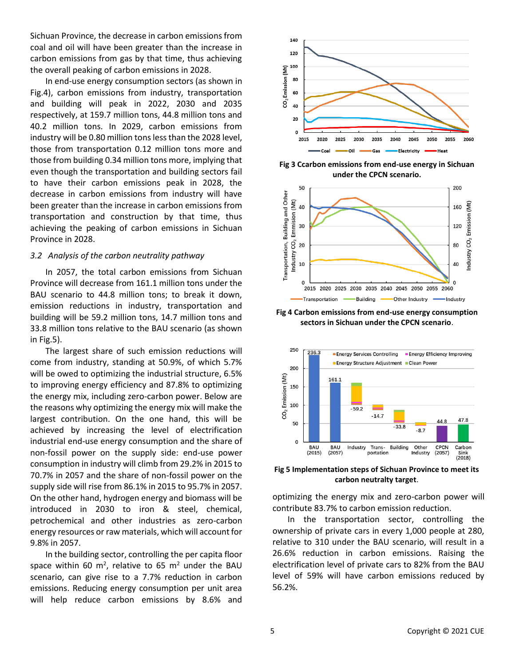Sichuan Province, the decrease in carbon emissions from coal and oil will have been greater than the increase in carbon emissions from gas by that time, thus achieving the overall peaking of carbon emissions in 2028.

In end-use energy consumption sectors (as shown in Fig.4), carbon emissions from industry, transportation and building will peak in 2022, 2030 and 2035 respectively, at 159.7 million tons, 44.8 million tons and 40.2 million tons. In 2029, carbon emissions from industry will be 0.80 million tons less than the 2028 level, those from transportation 0.12 million tons more and those from building 0.34 million tons more, implying that even though the transportation and building sectors fail to have their carbon emissions peak in 2028, the decrease in carbon emissions from industry will have been greater than the increase in carbon emissions from transportation and construction by that time, thus achieving the peaking of carbon emissions in Sichuan Province in 2028.

#### *3.2 Analysis of the carbon neutrality pathway*

In 2057, the total carbon emissions from Sichuan Province will decrease from 161.1 million tons under the BAU scenario to 44.8 million tons; to break it down, emission reductions in industry, transportation and building will be 59.2 million tons, 14.7 million tons and 33.8 million tons relative to the BAU scenario (as shown in Fig.5).

The largest share of such emission reductions will come from industry, standing at 50.9%, of which 5.7% will be owed to optimizing the industrial structure, 6.5% to improving energy efficiency and 87.8% to optimizing the energy mix, including zero-carbon power. Below are the reasons why optimizing the energy mix will make the largest contribution. On the one hand, this will be achieved by increasing the level of electrification industrial end-use energy consumption and the share of non-fossil power on the supply side: end-use power consumption in industry will climb from 29.2% in 2015 to 70.7% in 2057 and the share of non-fossil power on the supply side will rise from 86.1% in 2015 to 95.7% in 2057. On the other hand, hydrogen energy and biomass will be introduced in 2030 to iron & steel, chemical, petrochemical and other industries as zero-carbon energy resources or raw materials, which will account for 9.8% in 2057.

In the building sector, controlling the per capita floor space within 60 m<sup>2</sup>, relative to 65 m<sup>2</sup> under the BAU scenario, can give rise to a 7.7% reduction in carbon emissions. Reducing energy consumption per unit area will help reduce carbon emissions by 8.6% and



**Fig 3 Ccarbon emissions from end-use energy in Sichuan under the CPCN scenario.**



**Fig 4 Carbon emissions from end-use energy consumption sectors in Sichuan under the CPCN scenario**.



**Fig 5 Implementation steps of Sichuan Province to meet its carbon neutralty target**.

optimizing the energy mix and zero-carbon power will contribute 83.7% to carbon emission reduction.

In the transportation sector, controlling the ownership of private cars in every 1,000 people at 280, relative to 310 under the BAU scenario, will result in a 26.6% reduction in carbon emissions. Raising the electrification level of private cars to 82% from the BAU level of 59% will have carbon emissions reduced by 56.2%.